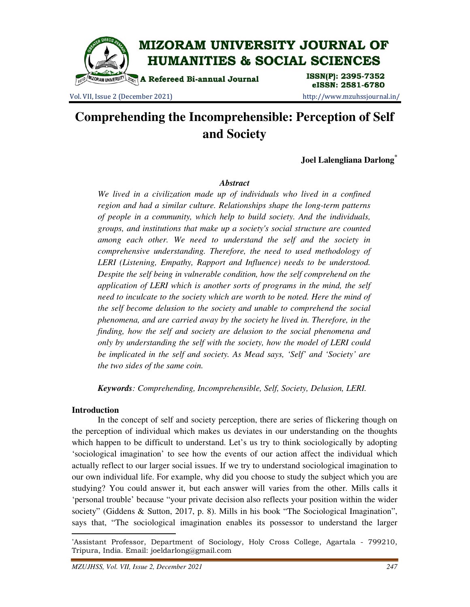

Vol. VII, Issue 2 (December 2021) http://www.mzuhssjournal.in/

eISSN: 2581-6780

# **Comprehending the Incomprehensible: Perception of Self and Society**

**Joel Lalengliana Darlong\***

## *Abstract*

*We lived in a civilization made up of individuals who lived in a confined region and had a similar culture. Relationships shape the long-term patterns of people in a community, which help to build society. And the individuals, groups, and institutions that make up a society's social structure are counted among each other. We need to understand the self and the society in comprehensive understanding. Therefore, the need to used methodology of LERI (Listening, Empathy, Rapport and Influence) needs to be understood. Despite the self being in vulnerable condition, how the self comprehend on the application of LERI which is another sorts of programs in the mind, the self need to inculcate to the society which are worth to be noted. Here the mind of the self become delusion to the society and unable to comprehend the social phenomena, and are carried away by the society he lived in. Therefore, in the finding, how the self and society are delusion to the social phenomena and only by understanding the self with the society, how the model of LERI could be implicated in the self and society. As Mead says, 'Self' and 'Society' are the two sides of the same coin.* 

*Keywords: Comprehending, Incomprehensible, Self, Society, Delusion, LERI.* 

### **Introduction**

 $\overline{a}$ 

 In the concept of self and society perception, there are series of flickering though on the perception of individual which makes us deviates in our understanding on the thoughts which happen to be difficult to understand. Let's us try to think sociologically by adopting 'sociological imagination' to see how the events of our action affect the individual which actually reflect to our larger social issues. If we try to understand sociological imagination to our own individual life. For example, why did you choose to study the subject which you are studying? You could answer it, but each answer will varies from the other. Mills calls it 'personal trouble' because "your private decision also reflects your position within the wider society" (Giddens & Sutton, 2017, p. 8). Mills in his book "The Sociological Imagination", says that, "The sociological imagination enables its possessor to understand the larger

<sup>\*</sup>Assistant Professor, Department of Sociology, Holy Cross College, Agartala - 799210, Tripura, India. Email: joeldarlong@gmail.com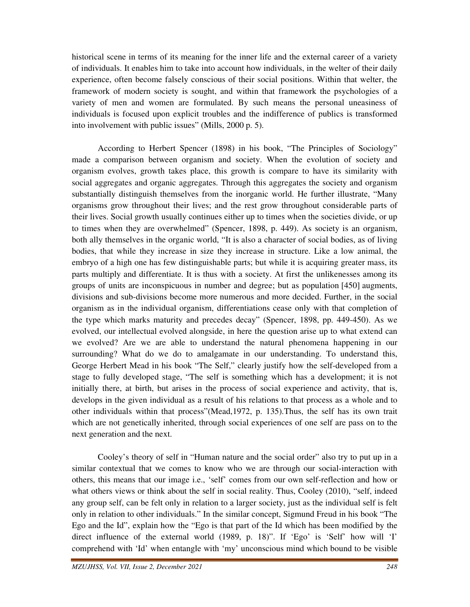historical scene in terms of its meaning for the inner life and the external career of a variety of individuals. It enables him to take into account how individuals, in the welter of their daily experience, often become falsely conscious of their social positions. Within that welter, the framework of modern society is sought, and within that framework the psychologies of a variety of men and women are formulated. By such means the personal uneasiness of individuals is focused upon explicit troubles and the indifference of publics is transformed into involvement with public issues" (Mills, 2000 p. 5).

According to Herbert Spencer (1898) in his book, "The Principles of Sociology" made a comparison between organism and society. When the evolution of society and organism evolves, growth takes place, this growth is compare to have its similarity with social aggregates and organic aggregates. Through this aggregates the society and organism substantially distinguish themselves from the inorganic world. He further illustrate, "Many organisms grow throughout their lives; and the rest grow throughout considerable parts of their lives. Social growth usually continues either up to times when the societies divide, or up to times when they are overwhelmed" (Spencer, 1898, p. 449). As society is an organism, both ally themselves in the organic world, "It is also a character of social bodies, as of living bodies, that while they increase in size they increase in structure. Like a low animal, the embryo of a high one has few distinguishable parts; but while it is acquiring greater mass, its parts multiply and differentiate. It is thus with a society. At first the unlikenesses among its groups of units are inconspicuous in number and degree; but as population [450] augments, divisions and sub-divisions become more numerous and more decided. Further, in the social organism as in the individual organism, differentiations cease only with that completion of the type which marks maturity and precedes decay" (Spencer, 1898, pp. 449-450). As we evolved, our intellectual evolved alongside, in here the question arise up to what extend can we evolved? Are we are able to understand the natural phenomena happening in our surrounding? What do we do to amalgamate in our understanding. To understand this, George Herbert Mead in his book "The Self," clearly justify how the self-developed from a stage to fully developed stage, "The self is something which has a development; it is not initially there, at birth, but arises in the process of social experience and activity, that is, develops in the given individual as a result of his relations to that process as a whole and to other individuals within that process"(Mead,1972, p. 135).Thus, the self has its own trait which are not genetically inherited, through social experiences of one self are pass on to the next generation and the next.

 Cooley's theory of self in "Human nature and the social order" also try to put up in a similar contextual that we comes to know who we are through our social-interaction with others, this means that our image i.e., 'self' comes from our own self-reflection and how or what others views or think about the self in social reality. Thus, Cooley (2010), "self, indeed any group self, can be felt only in relation to a larger society, just as the individual self is felt only in relation to other individuals." In the similar concept, Sigmund Freud in his book "The Ego and the Id", explain how the "Ego is that part of the Id which has been modified by the direct influence of the external world (1989, p. 18)". If 'Ego' is 'Self' how will 'I' comprehend with 'Id' when entangle with 'my' unconscious mind which bound to be visible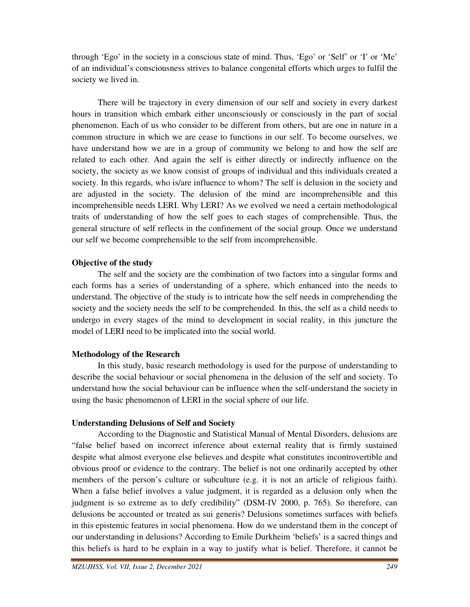through 'Ego' in the society in a conscious state of mind. Thus, 'Ego' or 'Self' or 'I' or 'Me' of an individual's consciousness strives to balance congenital efforts which urges to fulfil the society we lived in.

 There will be trajectory in every dimension of our self and society in every darkest hours in transition which embark either unconsciously or consciously in the part of social phenomenon. Each of us who consider to be different from others, but are one in nature in a common structure in which we are cease to functions in our self. To become ourselves, we have understand how we are in a group of community we belong to and how the self are related to each other. And again the self is either directly or indirectly influence on the society, the society as we know consist of groups of individual and this individuals created a society. In this regards, who is/are influence to whom? The self is delusion in the society and are adjusted in the society. The delusion of the mind are incomprehensible and this incomprehensible needs LERI. Why LERI? As we evolved we need a certain methodological traits of understanding of how the self goes to each stages of comprehensible. Thus, the general structure of self reflects in the confinement of the social group. Once we understand our self we become comprehensible to the self from incomprehensible.

## **Objective of the study**

 The self and the society are the combination of two factors into a singular forms and each forms has a series of understanding of a sphere, which enhanced into the needs to understand. The objective of the study is to intricate how the self needs in comprehending the society and the society needs the self to be comprehended. In this, the self as a child needs to undergo in every stages of the mind to development in social reality, in this juncture the model of LERI need to be implicated into the social world.

# **Methodology of the Research**

 In this study, basic research methodology is used for the purpose of understanding to describe the social behaviour or social phenomena in the delusion of the self and society. To understand how the social behaviour can be influence when the self-understand the society in using the basic phenomenon of LERI in the social sphere of our life.

# **Understanding Delusions of Self and Society**

 According to the Diagnostic and Statistical Manual of Mental Disorders, delusions are "false belief based on incorrect inference about external reality that is firmly sustained despite what almost everyone else believes and despite what constitutes incontrovertible and obvious proof or evidence to the contrary. The belief is not one ordinarily accepted by other members of the person's culture or subculture (e.g. it is not an article of religious faith). When a false belief involves a value judgment, it is regarded as a delusion only when the judgment is so extreme as to defy credibility" (DSM-IV 2000, p. 765). So therefore, can delusions be accounted or treated as sui generis? Delusions sometimes surfaces with beliefs in this epistemic features in social phenomena. How do we understand them in the concept of our understanding in delusions? According to Emile Durkheim 'beliefs' is a sacred things and this beliefs is hard to be explain in a way to justify what is belief. Therefore, it cannot be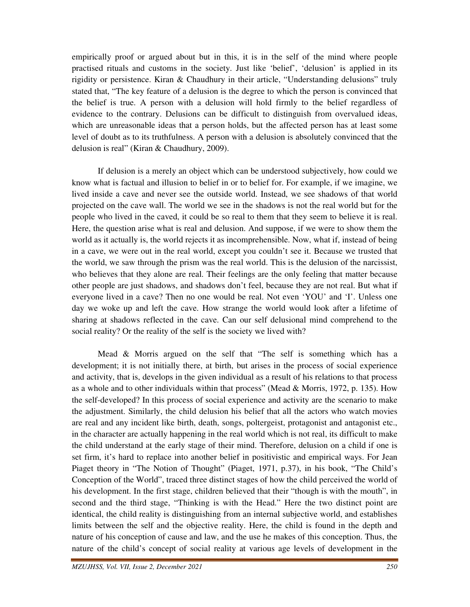empirically proof or argued about but in this, it is in the self of the mind where people practised rituals and customs in the society. Just like 'belief', 'delusion' is applied in its rigidity or persistence. Kiran & Chaudhury in their article, "Understanding delusions" truly stated that, "The key feature of a delusion is the degree to which the person is convinced that the belief is true. A person with a delusion will hold firmly to the belief regardless of evidence to the contrary. Delusions can be difficult to distinguish from overvalued ideas, which are unreasonable ideas that a person holds, but the affected person has at least some level of doubt as to its truthfulness. A person with a delusion is absolutely convinced that the delusion is real" (Kiran & Chaudhury, 2009).

 If delusion is a merely an object which can be understood subjectively, how could we know what is factual and illusion to belief in or to belief for. For example, if we imagine, we lived inside a cave and never see the outside world. Instead, we see shadows of that world projected on the cave wall. The world we see in the shadows is not the real world but for the people who lived in the caved, it could be so real to them that they seem to believe it is real. Here, the question arise what is real and delusion. And suppose, if we were to show them the world as it actually is, the world rejects it as incomprehensible. Now, what if, instead of being in a cave, we were out in the real world, except you couldn't see it. Because we trusted that the world, we saw through the prism was the real world. This is the delusion of the narcissist, who believes that they alone are real. Their feelings are the only feeling that matter because other people are just shadows, and shadows don't feel, because they are not real. But what if everyone lived in a cave? Then no one would be real. Not even 'YOU' and 'I'. Unless one day we woke up and left the cave. How strange the world would look after a lifetime of sharing at shadows reflected in the cave. Can our self delusional mind comprehend to the social reality? Or the reality of the self is the society we lived with?

Mead  $\&$  Morris argued on the self that "The self is something which has a development; it is not initially there, at birth, but arises in the process of social experience and activity, that is, develops in the given individual as a result of his relations to that process as a whole and to other individuals within that process" (Mead & Morris, 1972, p. 135). How the self-developed? In this process of social experience and activity are the scenario to make the adjustment. Similarly, the child delusion his belief that all the actors who watch movies are real and any incident like birth, death, songs, poltergeist, protagonist and antagonist etc., in the character are actually happening in the real world which is not real, its difficult to make the child understand at the early stage of their mind. Therefore, delusion on a child if one is set firm, it's hard to replace into another belief in positivistic and empirical ways. For Jean Piaget theory in "The Notion of Thought" (Piaget, 1971, p.37), in his book, "The Child's Conception of the World", traced three distinct stages of how the child perceived the world of his development. In the first stage, children believed that their "though is with the mouth", in second and the third stage, "Thinking is with the Head." Here the two distinct point are identical, the child reality is distinguishing from an internal subjective world, and establishes limits between the self and the objective reality. Here, the child is found in the depth and nature of his conception of cause and law, and the use he makes of this conception. Thus, the nature of the child's concept of social reality at various age levels of development in the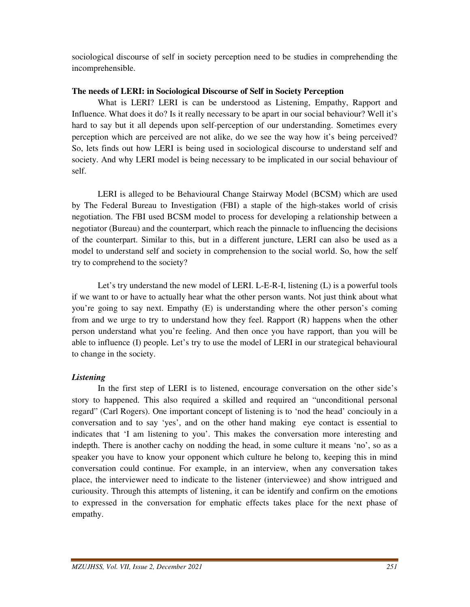sociological discourse of self in society perception need to be studies in comprehending the incomprehensible.

## **The needs of LERI: in Sociological Discourse of Self in Society Perception**

What is LERI? LERI is can be understood as Listening, Empathy, Rapport and Influence. What does it do? Is it really necessary to be apart in our social behaviour? Well it's hard to say but it all depends upon self-perception of our understanding. Sometimes every perception which are perceived are not alike, do we see the way how it's being perceived? So, lets finds out how LERI is being used in sociological discourse to understand self and society. And why LERI model is being necessary to be implicated in our social behaviour of self.

 LERI is alleged to be Behavioural Change Stairway Model (BCSM) which are used by The Federal Bureau to Investigation (FBI) a staple of the high-stakes world of crisis negotiation. The FBI used BCSM model to process for developing a relationship between a negotiator (Bureau) and the counterpart, which reach the pinnacle to influencing the decisions of the counterpart. Similar to this, but in a different juncture, LERI can also be used as a model to understand self and society in comprehension to the social world. So, how the self try to comprehend to the society?

 Let's try understand the new model of LERI. L-E-R-I, listening (L) is a powerful tools if we want to or have to actually hear what the other person wants. Not just think about what you're going to say next. Empathy (E) is understanding where the other person's coming from and we urge to try to understand how they feel. Rapport (R) happens when the other person understand what you're feeling. And then once you have rapport, than you will be able to influence (I) people. Let's try to use the model of LERI in our strategical behavioural to change in the society.

# *Listening*

 In the first step of LERI is to listened, encourage conversation on the other side's story to happened. This also required a skilled and required an "unconditional personal regard" (Carl Rogers). One important concept of listening is to 'nod the head' conciouly in a conversation and to say 'yes', and on the other hand making eye contact is essential to indicates that 'I am listening to you'. This makes the conversation more interesting and indepth. There is another cachy on nodding the head, in some culture it means 'no', so as a speaker you have to know your opponent which culture he belong to, keeping this in mind conversation could continue. For example, in an interview, when any conversation takes place, the interviewer need to indicate to the listener (interviewee) and show intrigued and curiousity. Through this attempts of listening, it can be identify and confirm on the emotions to expressed in the conversation for emphatic effects takes place for the next phase of empathy.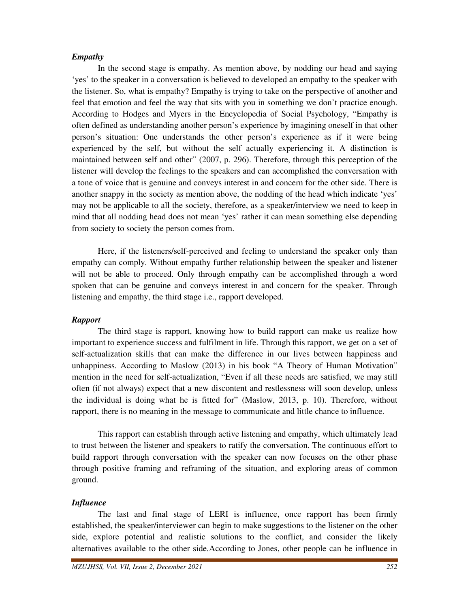## *Empathy*

 In the second stage is empathy. As mention above, by nodding our head and saying 'yes' to the speaker in a conversation is believed to developed an empathy to the speaker with the listener. So, what is empathy? Empathy is trying to take on the perspective of another and feel that emotion and feel the way that sits with you in something we don't practice enough. According to Hodges and Myers in the Encyclopedia of Social Psychology, "Empathy is often defined as understanding another person's experience by imagining oneself in that other person's situation: One understands the other person's experience as if it were being experienced by the self, but without the self actually experiencing it. A distinction is maintained between self and other" (2007, p. 296). Therefore, through this perception of the listener will develop the feelings to the speakers and can accomplished the conversation with a tone of voice that is genuine and conveys interest in and concern for the other side. There is another snappy in the society as mention above, the nodding of the head which indicate 'yes' may not be applicable to all the society, therefore, as a speaker/interview we need to keep in mind that all nodding head does not mean 'yes' rather it can mean something else depending from society to society the person comes from.

 Here, if the listeners/self-perceived and feeling to understand the speaker only than empathy can comply. Without empathy further relationship between the speaker and listener will not be able to proceed. Only through empathy can be accomplished through a word spoken that can be genuine and conveys interest in and concern for the speaker. Through listening and empathy, the third stage i.e., rapport developed.

### *Rapport*

 The third stage is rapport, knowing how to build rapport can make us realize how important to experience success and fulfilment in life. Through this rapport, we get on a set of self-actualization skills that can make the difference in our lives between happiness and unhappiness. According to Maslow (2013) in his book "A Theory of Human Motivation" mention in the need for self-actualization, "Even if all these needs are satisfied, we may still often (if not always) expect that a new discontent and restlessness will soon develop, unless the individual is doing what he is fitted for" (Maslow, 2013, p. 10). Therefore, without rapport, there is no meaning in the message to communicate and little chance to influence.

 This rapport can establish through active listening and empathy, which ultimately lead to trust between the listener and speakers to ratify the conversation. The continuous effort to build rapport through conversation with the speaker can now focuses on the other phase through positive framing and reframing of the situation, and exploring areas of common ground.

## *Influence*

 The last and final stage of LERI is influence, once rapport has been firmly established, the speaker/interviewer can begin to make suggestions to the listener on the other side, explore potential and realistic solutions to the conflict, and consider the likely alternatives available to the other side.According to Jones, other people can be influence in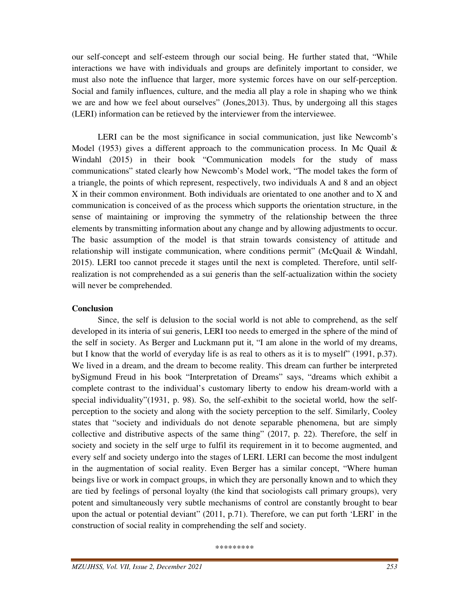our self-concept and self-esteem through our social being. He further stated that, "While interactions we have with individuals and groups are definitely important to consider, we must also note the influence that larger, more systemic forces have on our self-perception. Social and family influences, culture, and the media all play a role in shaping who we think we are and how we feel about ourselves" (Jones,2013). Thus, by undergoing all this stages (LERI) information can be retieved by the interviewer from the interviewee.

 LERI can be the most significance in social communication, just like Newcomb's Model (1953) gives a different approach to the communication process. In Mc Quail  $\&$ Windahl (2015) in their book "Communication models for the study of mass communications" stated clearly how Newcomb's Model work, "The model takes the form of a triangle, the points of which represent, respectively, two individuals A and 8 and an object X in their common environment. Both individuals are orientated to one another and to X and communication is conceived of as the process which supports the orientation structure, in the sense of maintaining or improving the symmetry of the relationship between the three elements by transmitting information about any change and by allowing adjustments to occur. The basic assumption of the model is that strain towards consistency of attitude and relationship will instigate communication, where conditions permit" (McQuail & Windahl, 2015). LERI too cannot precede it stages until the next is completed. Therefore, until selfrealization is not comprehended as a sui generis than the self-actualization within the society will never be comprehended.

### **Conclusion**

 Since, the self is delusion to the social world is not able to comprehend, as the self developed in its interia of sui generis, LERI too needs to emerged in the sphere of the mind of the self in society. As Berger and Luckmann put it, "I am alone in the world of my dreams, but I know that the world of everyday life is as real to others as it is to myself" (1991, p.37). We lived in a dream, and the dream to become reality. This dream can further be interpreted bySigmund Freud in his book "Interpretation of Dreams" says, "dreams which exhibit a complete contrast to the individual's customary liberty to endow his dream-world with a special individuality"(1931, p. 98). So, the self-exhibit to the societal world, how the selfperception to the society and along with the society perception to the self. Similarly, Cooley states that "society and individuals do not denote separable phenomena, but are simply collective and distributive aspects of the same thing" (2017, p. 22). Therefore, the self in society and society in the self urge to fulfil its requirement in it to become augmented, and every self and society undergo into the stages of LERI. LERI can become the most indulgent in the augmentation of social reality. Even Berger has a similar concept, "Where human beings live or work in compact groups, in which they are personally known and to which they are tied by feelings of personal loyalty (the kind that sociologists call primary groups), very potent and simultaneously very subtle mechanisms of control are constantly brought to bear upon the actual or potential deviant" (2011, p.71). Therefore, we can put forth 'LERI' in the construction of social reality in comprehending the self and society.

\*\*\*\*\*\*\*\*\*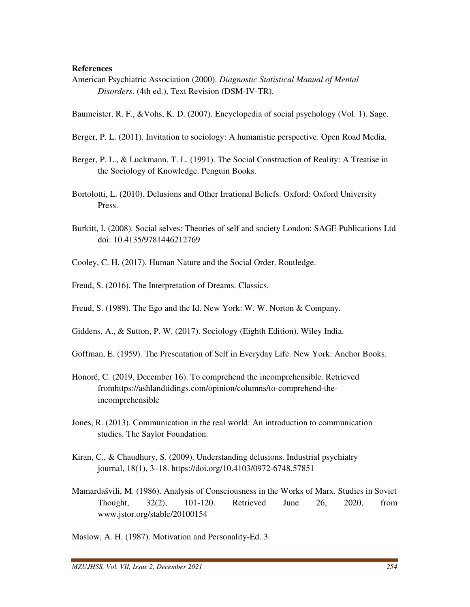#### **References**

American Psychiatric Association (2000). *Diagnostic Statistical Manual of Mental Disorders*. (4th ed.), Text Revision (DSM-IV-TR).

Baumeister, R. F., &Vohs, K. D. (2007). Encyclopedia of social psychology (Vol. 1). Sage.

- Berger, P. L. (2011). Invitation to sociology: A humanistic perspective. Open Road Media.
- Berger, P. L., & Luckmann, T. L. (1991). The Social Construction of Reality: A Treatise in the Sociology of Knowledge. Penguin Books.
- Bortolotti, L. (2010). Delusions and Other Irrational Beliefs. Oxford: Oxford University Press.
- Burkitt, I. (2008). Social selves: Theories of self and society London: SAGE Publications Ltd doi: 10.4135/9781446212769
- Cooley, C. H. (2017). Human Nature and the Social Order. Routledge.
- Freud, S. (2016). The Interpretation of Dreams. Classics.
- Freud, S. (1989). The Ego and the Id. New York: W. W. Norton & Company.
- Giddens, A., & Sutton, P. W. (2017). Sociology (Eighth Edition). Wiley India.
- Goffman, E. (1959). The Presentation of Self in Everyday Life. New York: Anchor Books.
- Honoré, C. (2019, December 16). To comprehend the incomprehensible. Retrieved fromhttps://ashlandtidings.com/opinion/columns/to-comprehend-the incomprehensible
- Jones, R. (2013). Communication in the real world: An introduction to communication studies. The Saylor Foundation.
- Kiran, C., & Chaudhury, S. (2009). Understanding delusions. Industrial psychiatry journal, 18(1), 3–18. https://doi.org/10.4103/0972-6748.57851
- Mamardašvili, M. (1986). Analysis of Consciousness in the Works of Marx. Studies in Soviet Thought, 32(2), 101-120. Retrieved June 26, 2020, from www.jstor.org/stable/20100154

Maslow, A. H. (1987). Motivation and Personality-Ed. 3.